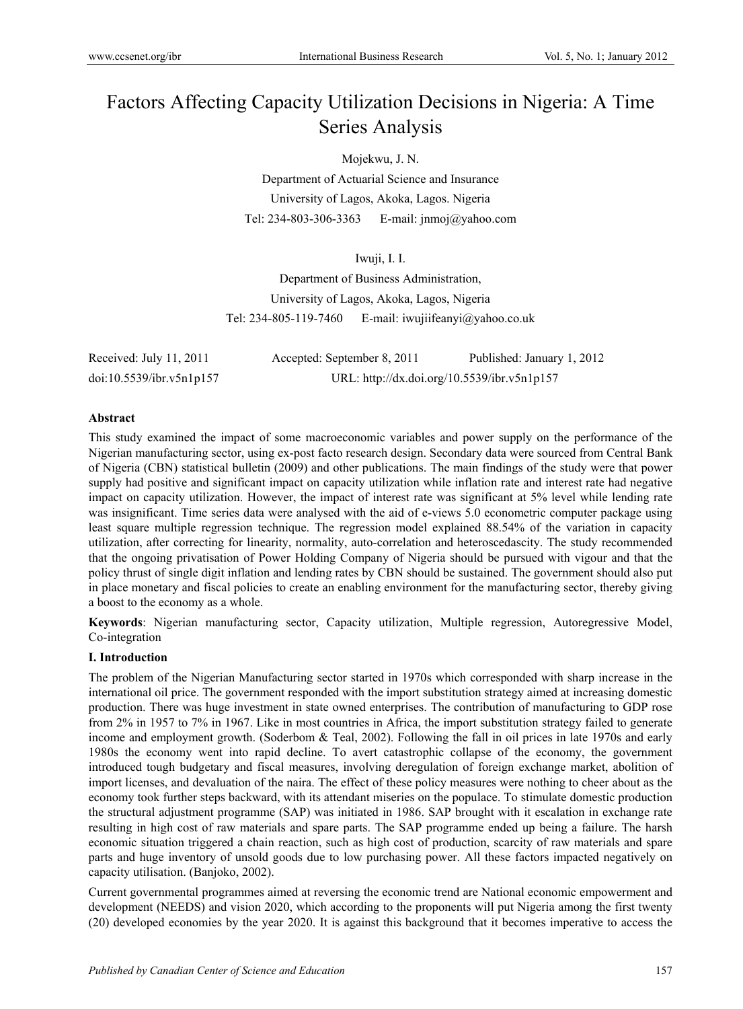# Factors Affecting Capacity Utilization Decisions in Nigeria: A Time Series Analysis

Mojekwu, J. N.

Department of Actuarial Science and Insurance University of Lagos, Akoka, Lagos. Nigeria Tel: 234-803-306-3363 E-mail: jnmoj@yahoo.com

Iwuji, I. I.

Department of Business Administration, University of Lagos, Akoka, Lagos, Nigeria Tel:  $234-805-119-7460$  E-mail: iwujiifeanyi $\omega$ yahoo.co.uk

| Received: July 11, 2011  | Accepted: September 8, 2011 | Published: January 1, 2012                  |
|--------------------------|-----------------------------|---------------------------------------------|
| doi:10.5539/ibr.v5n1p157 |                             | URL: http://dx.doi.org/10.5539/ibr.v5n1p157 |

### **Abstract**

This study examined the impact of some macroeconomic variables and power supply on the performance of the Nigerian manufacturing sector, using ex-post facto research design. Secondary data were sourced from Central Bank of Nigeria (CBN) statistical bulletin (2009) and other publications. The main findings of the study were that power supply had positive and significant impact on capacity utilization while inflation rate and interest rate had negative impact on capacity utilization. However, the impact of interest rate was significant at 5% level while lending rate was insignificant. Time series data were analysed with the aid of e-views 5.0 econometric computer package using least square multiple regression technique. The regression model explained 88.54% of the variation in capacity utilization, after correcting for linearity, normality, auto-correlation and heteroscedascity. The study recommended that the ongoing privatisation of Power Holding Company of Nigeria should be pursued with vigour and that the policy thrust of single digit inflation and lending rates by CBN should be sustained. The government should also put in place monetary and fiscal policies to create an enabling environment for the manufacturing sector, thereby giving a boost to the economy as a whole.

**Keywords**: Nigerian manufacturing sector, Capacity utilization, Multiple regression, Autoregressive Model, Co-integration

### **I. Introduction**

The problem of the Nigerian Manufacturing sector started in 1970s which corresponded with sharp increase in the international oil price. The government responded with the import substitution strategy aimed at increasing domestic production. There was huge investment in state owned enterprises. The contribution of manufacturing to GDP rose from 2% in 1957 to 7% in 1967. Like in most countries in Africa, the import substitution strategy failed to generate income and employment growth. (Soderbom & Teal, 2002). Following the fall in oil prices in late 1970s and early 1980s the economy went into rapid decline. To avert catastrophic collapse of the economy, the government introduced tough budgetary and fiscal measures, involving deregulation of foreign exchange market, abolition of import licenses, and devaluation of the naira. The effect of these policy measures were nothing to cheer about as the economy took further steps backward, with its attendant miseries on the populace. To stimulate domestic production the structural adjustment programme (SAP) was initiated in 1986. SAP brought with it escalation in exchange rate resulting in high cost of raw materials and spare parts. The SAP programme ended up being a failure. The harsh economic situation triggered a chain reaction, such as high cost of production, scarcity of raw materials and spare parts and huge inventory of unsold goods due to low purchasing power. All these factors impacted negatively on capacity utilisation. (Banjoko, 2002).

Current governmental programmes aimed at reversing the economic trend are National economic empowerment and development (NEEDS) and vision 2020, which according to the proponents will put Nigeria among the first twenty (20) developed economies by the year 2020. It is against this background that it becomes imperative to access the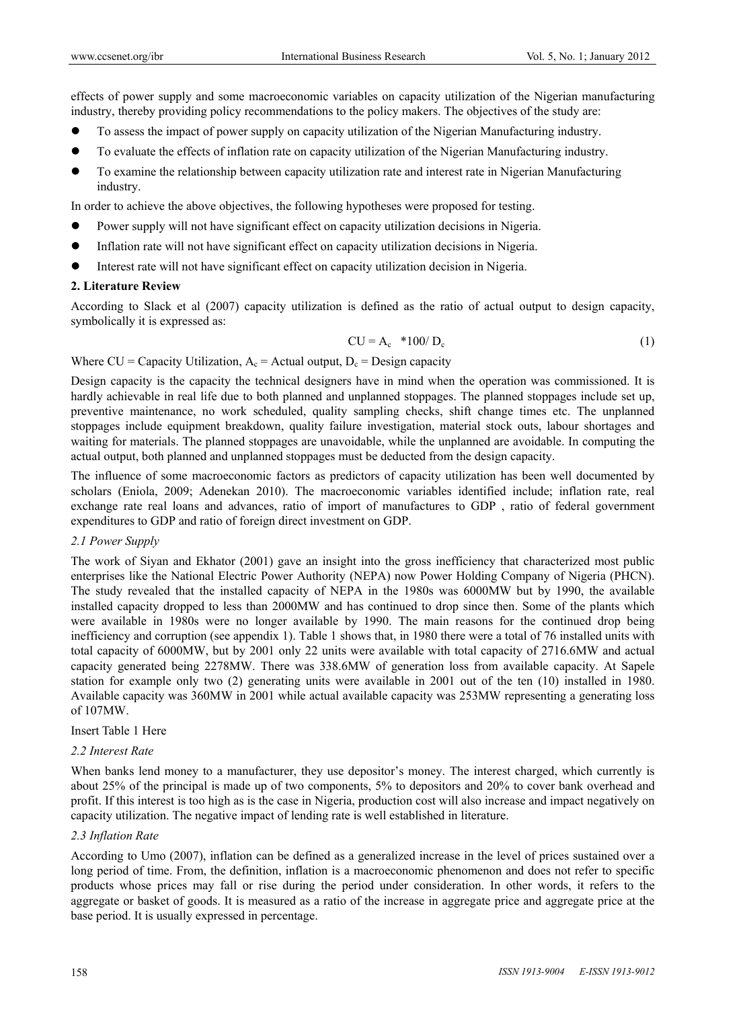effects of power supply and some macroeconomic variables on capacity utilization of the Nigerian manufacturing industry, thereby providing policy recommendations to the policy makers. The objectives of the study are:

- To assess the impact of power supply on capacity utilization of the Nigerian Manufacturing industry.
- To evaluate the effects of inflation rate on capacity utilization of the Nigerian Manufacturing industry.
- To examine the relationship between capacity utilization rate and interest rate in Nigerian Manufacturing industry.

In order to achieve the above objectives, the following hypotheses were proposed for testing.

- Power supply will not have significant effect on capacity utilization decisions in Nigeria.
- Inflation rate will not have significant effect on capacity utilization decisions in Nigeria.
- Interest rate will not have significant effect on capacity utilization decision in Nigeria.

### **2. Literature Review**

According to Slack et al (2007) capacity utilization is defined as the ratio of actual output to design capacity, symbolically it is expressed as:

$$
CU = A_c * 100/D_c \tag{1}
$$

Where  $CU =$  Capacity Utilization,  $A_c =$  Actual output,  $D_c =$  Design capacity

Design capacity is the capacity the technical designers have in mind when the operation was commissioned. It is hardly achievable in real life due to both planned and unplanned stoppages. The planned stoppages include set up, preventive maintenance, no work scheduled, quality sampling checks, shift change times etc. The unplanned stoppages include equipment breakdown, quality failure investigation, material stock outs, labour shortages and waiting for materials. The planned stoppages are unavoidable, while the unplanned are avoidable. In computing the actual output, both planned and unplanned stoppages must be deducted from the design capacity.

The influence of some macroeconomic factors as predictors of capacity utilization has been well documented by scholars (Eniola, 2009; Adenekan 2010). The macroeconomic variables identified include; inflation rate, real exchange rate real loans and advances, ratio of import of manufactures to GDP , ratio of federal government expenditures to GDP and ratio of foreign direct investment on GDP.

### *2.1 Power Supply*

The work of Siyan and Ekhator (2001) gave an insight into the gross inefficiency that characterized most public enterprises like the National Electric Power Authority (NEPA) now Power Holding Company of Nigeria (PHCN). The study revealed that the installed capacity of NEPA in the 1980s was 6000MW but by 1990, the available installed capacity dropped to less than 2000MW and has continued to drop since then. Some of the plants which were available in 1980s were no longer available by 1990. The main reasons for the continued drop being inefficiency and corruption (see appendix 1). Table 1 shows that, in 1980 there were a total of 76 installed units with total capacity of 6000MW, but by 2001 only 22 units were available with total capacity of 2716.6MW and actual capacity generated being 2278MW. There was 338.6MW of generation loss from available capacity. At Sapele station for example only two (2) generating units were available in 2001 out of the ten (10) installed in 1980. Available capacity was 360MW in 2001 while actual available capacity was 253MW representing a generating loss of 107MW.

#### Insert Table 1 Here

#### *2.2 Interest Rate*

When banks lend money to a manufacturer, they use depositor's money. The interest charged, which currently is about 25% of the principal is made up of two components, 5% to depositors and 20% to cover bank overhead and profit. If this interest is too high as is the case in Nigeria, production cost will also increase and impact negatively on capacity utilization. The negative impact of lending rate is well established in literature.

#### *2.3 Inflation Rate*

According to Umo (2007), inflation can be defined as a generalized increase in the level of prices sustained over a long period of time. From, the definition, inflation is a macroeconomic phenomenon and does not refer to specific products whose prices may fall or rise during the period under consideration. In other words, it refers to the aggregate or basket of goods. It is measured as a ratio of the increase in aggregate price and aggregate price at the base period. It is usually expressed in percentage.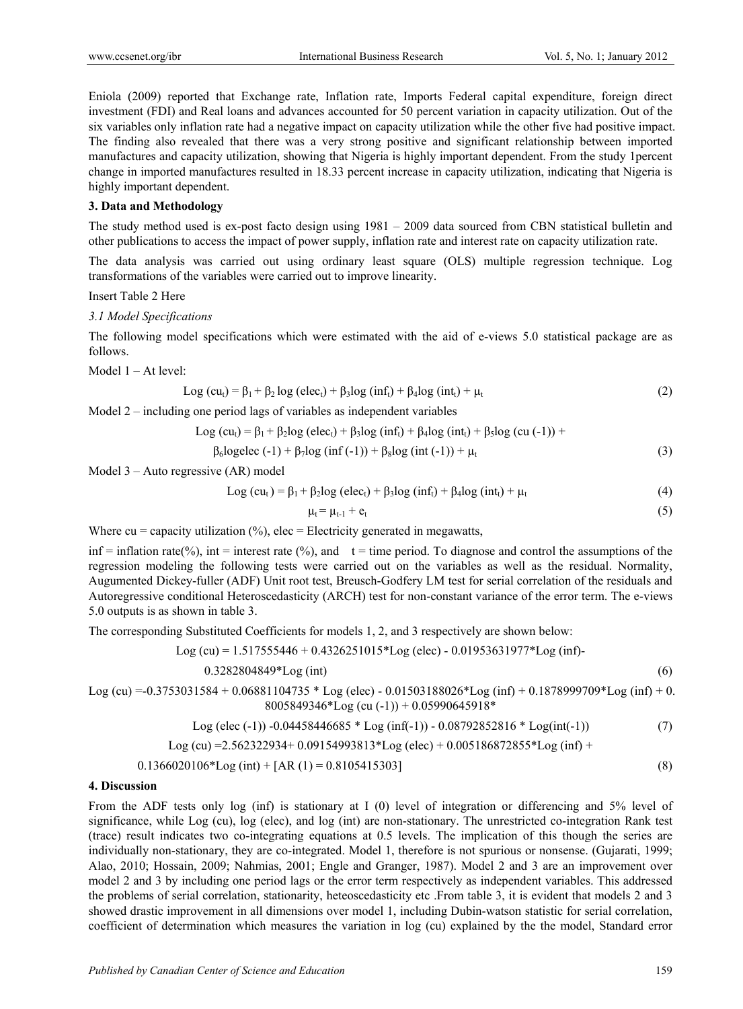Eniola (2009) reported that Exchange rate, Inflation rate, Imports Federal capital expenditure, foreign direct investment (FDI) and Real loans and advances accounted for 50 percent variation in capacity utilization. Out of the six variables only inflation rate had a negative impact on capacity utilization while the other five had positive impact. The finding also revealed that there was a very strong positive and significant relationship between imported manufactures and capacity utilization, showing that Nigeria is highly important dependent. From the study 1percent change in imported manufactures resulted in 18.33 percent increase in capacity utilization, indicating that Nigeria is highly important dependent.

## **3. Data and Methodology**

The study method used is ex-post facto design using 1981 – 2009 data sourced from CBN statistical bulletin and other publications to access the impact of power supply, inflation rate and interest rate on capacity utilization rate.

The data analysis was carried out using ordinary least square (OLS) multiple regression technique. Log transformations of the variables were carried out to improve linearity.

Insert Table 2 Here

*3.1 Model Specifications* 

The following model specifications which were estimated with the aid of e-views 5.0 statistical package are as follows.

Model 1 – At level:

$$
Log (cut) = \beta_1 + \beta_2 log (elect) + \beta_3 log (inft) + \beta_4 log (intt) + \mu_t
$$
\n(2)

Model 2 – including one period lags of variables as independent variables

Log (cu<sub>t</sub>) = 
$$
\beta_1 + \beta_2 \log (\text{elec}_t) + \beta_3 \log (\text{inf}_t) + \beta_4 \log (\text{int}_t) + \beta_5 \log (\text{cu} (-1)) + \beta_6 \log \text{elec} (-1) + \beta_7 \log (\text{inf} (-1)) + \beta_8 \log (\text{int} (-1)) + \mu_t
$$
 (3)

Model 3 – Auto regressive (AR) model

$$
Log (cut) = \beta_1 + \beta_2 log (elect) + \beta_3 log (inft) + \beta_4 log (intt) + \mu_t
$$
\n(4)

$$
\mu_t = \mu_{t-1} + e_t \tag{5}
$$

Where  $cu =$  capacity utilization  $(\%)$ , elec = Electricity generated in megawatts,

inf = inflation rate(%), int = interest rate (%), and  $t =$  time period. To diagnose and control the assumptions of the regression modeling the following tests were carried out on the variables as well as the residual. Normality, Augumented Dickey-fuller (ADF) Unit root test, Breusch-Godfery LM test for serial correlation of the residuals and Autoregressive conditional Heteroscedasticity (ARCH) test for non-constant variance of the error term. The e-views 5.0 outputs is as shown in table 3.

The corresponding Substituted Coefficients for models 1, 2, and 3 respectively are shown below:

Log (cu) = 
$$
1.517555446 + 0.4326251015 \cdot \text{Log}
$$
 (elec) -  $0.01953631977 \cdot \text{Log}$  (inf)

$$
0.3282804849*Log(int)
$$
 (6)

Log (cu) =-0.3753031584 + 0.06881104735 \* Log (elec) - 0.01503188026\*Log (inf) + 0.1878999709\*Log (inf) + 0. 8005849346\*Log (cu (-1)) + 0.05990645918\*

$$
Log (elec (-1)) -0.04458446685 * Log (inf(-1)) - 0.08792852816 * Log(int(-1))
$$
\n(7)

$$
Log (cu) = 2.562322934 + 0.09154993813 * Log (elec) + 0.005186872855 * Log (inf) +
$$

$$
0.1366020106 * Log (int) + [AR (1) = 0.8105415303]
$$
\n(8)

#### **4. Discussion**

From the ADF tests only log (inf) is stationary at I (0) level of integration or differencing and 5% level of significance, while Log (cu), log (elec), and log (int) are non-stationary. The unrestricted co-integration Rank test (trace) result indicates two co-integrating equations at 0.5 levels. The implication of this though the series are individually non-stationary, they are co-integrated. Model 1, therefore is not spurious or nonsense. (Gujarati, 1999; Alao, 2010; Hossain, 2009; Nahmias, 2001; Engle and Granger, 1987). Model 2 and 3 are an improvement over model 2 and 3 by including one period lags or the error term respectively as independent variables. This addressed the problems of serial correlation, stationarity, heteoscedasticity etc .From table 3, it is evident that models 2 and 3 showed drastic improvement in all dimensions over model 1, including Dubin-watson statistic for serial correlation, coefficient of determination which measures the variation in log (cu) explained by the the model, Standard error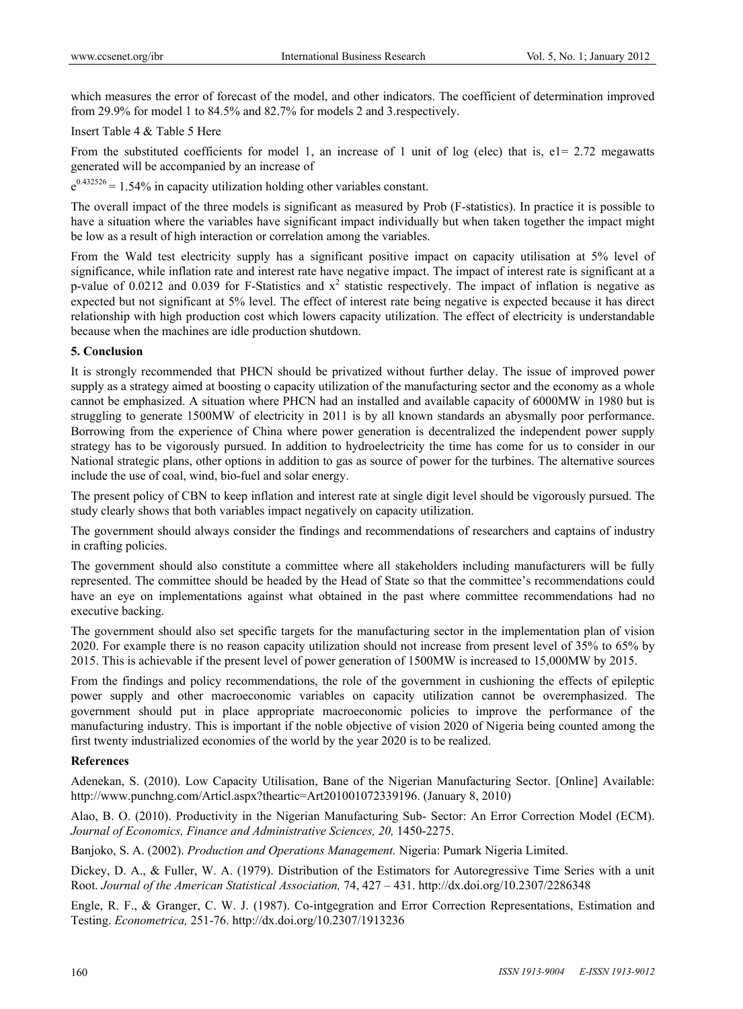which measures the error of forecast of the model, and other indicators. The coefficient of determination improved from 29.9% for model 1 to 84.5% and 82.7% for models 2 and 3.respectively.

Insert Table 4 & Table 5 Here

From the substituted coefficients for model 1, an increase of 1 unit of log (elec) that is,  $e1 = 2.72$  megawatts generated will be accompanied by an increase of

 $e^{0.432526}$  = 1.54% in capacity utilization holding other variables constant.

The overall impact of the three models is significant as measured by Prob (F-statistics). In practice it is possible to have a situation where the variables have significant impact individually but when taken together the impact might be low as a result of high interaction or correlation among the variables.

From the Wald test electricity supply has a significant positive impact on capacity utilisation at 5% level of significance, while inflation rate and interest rate have negative impact. The impact of interest rate is significant at a p-value of 0.0212 and 0.039 for F-Statistics and  $x^2$  statistic respectively. The impact of inflation is negative as expected but not significant at 5% level. The effect of interest rate being negative is expected because it has direct relationship with high production cost which lowers capacity utilization. The effect of electricity is understandable because when the machines are idle production shutdown.

#### **5. Conclusion**

It is strongly recommended that PHCN should be privatized without further delay. The issue of improved power supply as a strategy aimed at boosting o capacity utilization of the manufacturing sector and the economy as a whole cannot be emphasized. A situation where PHCN had an installed and available capacity of 6000MW in 1980 but is struggling to generate 1500MW of electricity in 2011 is by all known standards an abysmally poor performance. Borrowing from the experience of China where power generation is decentralized the independent power supply strategy has to be vigorously pursued. In addition to hydroelectricity the time has come for us to consider in our National strategic plans, other options in addition to gas as source of power for the turbines. The alternative sources include the use of coal, wind, bio-fuel and solar energy.

The present policy of CBN to keep inflation and interest rate at single digit level should be vigorously pursued. The study clearly shows that both variables impact negatively on capacity utilization.

The government should always consider the findings and recommendations of researchers and captains of industry in crafting policies.

The government should also constitute a committee where all stakeholders including manufacturers will be fully represented. The committee should be headed by the Head of State so that the committee's recommendations could have an eye on implementations against what obtained in the past where committee recommendations had no executive backing.

The government should also set specific targets for the manufacturing sector in the implementation plan of vision 2020. For example there is no reason capacity utilization should not increase from present level of 35% to 65% by 2015. This is achievable if the present level of power generation of 1500MW is increased to 15,000MW by 2015.

From the findings and policy recommendations, the role of the government in cushioning the effects of epileptic power supply and other macroeconomic variables on capacity utilization cannot be overemphasized. The government should put in place appropriate macroeconomic policies to improve the performance of the manufacturing industry. This is important if the noble objective of vision 2020 of Nigeria being counted among the first twenty industrialized economies of the world by the year 2020 is to be realized.

#### **References**

Adenekan, S. (2010). Low Capacity Utilisation, Bane of the Nigerian Manufacturing Sector. [Online] Available: http://www.punchng.com/Articl.aspx?theartic=Art201001072339196. (January 8, 2010)

Alao, B. O. (2010). Productivity in the Nigerian Manufacturing Sub- Sector: An Error Correction Model (ECM). Journal of Economics, Finance and Administrative Sciences, 20, 1450-2275.

Banjoko, S. A. (2002). *Production and Operations Management.* Nigeria: Pumark Nigeria Limited.

Dickey, D. A., & Fuller, W. A. (1979). Distribution of the Estimators for Autoregressive Time Series with a unit Root. *Journal of the American Statistical Association,* 74, 427 – 431. http://dx.doi.org/10.2307/2286348

Engle, R. F., & Granger, C. W. J. (1987). Co-intgegration and Error Correction Representations, Estimation and Testing. *Econometrica,* 251-76. http://dx.doi.org/10.2307/1913236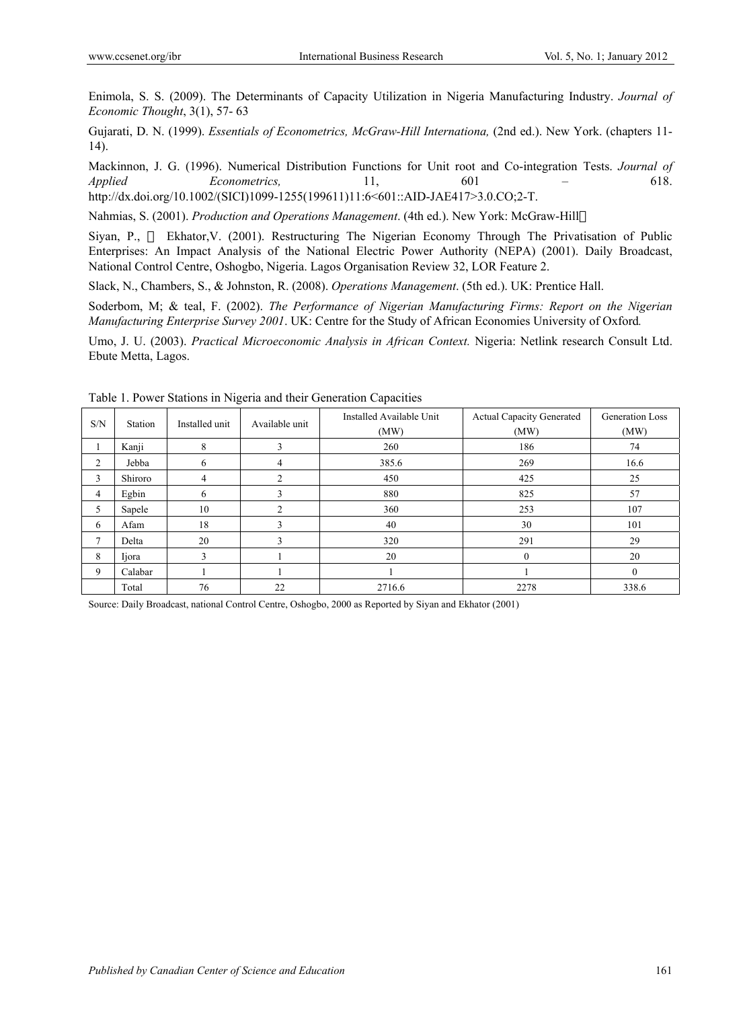Enimola, S. S. (2009). The Determinants of Capacity Utilization in Nigeria Manufacturing Industry. *Journal of Economic Thought*, 3(1), 57- 63

Gujarati, D. N. (1999). *Essentials of Econometrics, McGraw-Hill Internationa,* (2nd ed.). New York. (chapters 11- 14).

Mackinnon, J. G. (1996). Numerical Distribution Functions for Unit root and Co-integration Tests. *Journal of Applied Econometrics,* 11, 601 – 618. http://dx.doi.org/10.1002/(SICI)1099-1255(199611)11:6<601::AID-JAE417>3.0.CO;2-T.

Nahmias, S. (2001). *Production and Operations Management*. (4th ed.). New York: McGraw-Hill

Siyan, P., Ekhator,V. (2001). Restructuring The Nigerian Economy Through The Privatisation of Public Enterprises: An Impact Analysis of the National Electric Power Authority (NEPA) (2001). Daily Broadcast, National Control Centre, Oshogbo, Nigeria. Lagos Organisation Review 32, LOR Feature 2.

Slack, N., Chambers, S., & Johnston, R. (2008). *Operations Management*. (5th ed.). UK: Prentice Hall.

Soderbom, M; & teal, F. (2002). *The Performance of Nigerian Manufacturing Firms: Report on the Nigerian Manufacturing Enterprise Survey 2001*. UK: Centre for the Study of African Economies University of Oxford*.*

Umo, J. U. (2003). *Practical Microeconomic Analysis in African Context.* Nigeria: Netlink research Consult Ltd. Ebute Metta, Lagos.

| S/N            | Station | Installed unit | Available unit | Installed Available Unit<br>(MW) | <b>Actual Capacity Generated</b><br>(MW) | Generation Loss<br>(MW) |
|----------------|---------|----------------|----------------|----------------------------------|------------------------------------------|-------------------------|
|                | Kanji   | 8              | 3              | 260                              | 186                                      | 74                      |
| 2              | Jebba   | 6              | 4              | 385.6                            | 269                                      | 16.6                    |
| 3              | Shiroro | 4              | 2              | 450                              | 425                                      | 25                      |
| 4              | Egbin   | 6              | 3              | 880                              | 825                                      | 57                      |
| 5              | Sapele  | 10             | 2              | 360                              | 253                                      | 107                     |
| 6              | Afam    | 18             | 3              | 40                               | 30                                       | 101                     |
| $\overline{7}$ | Delta   | 20             | 3              | 320                              | 291                                      | 29                      |
| 8              | Ijora   |                |                | 20                               | $\theta$                                 | 20                      |
| 9              | Calabar |                |                |                                  |                                          | 0                       |
|                | Total   | 76             | 22             | 2716.6                           | 2278                                     | 338.6                   |

Table 1. Power Stations in Nigeria and their Generation Capacities

Source: Daily Broadcast, national Control Centre, Oshogbo, 2000 as Reported by Siyan and Ekhator (2001)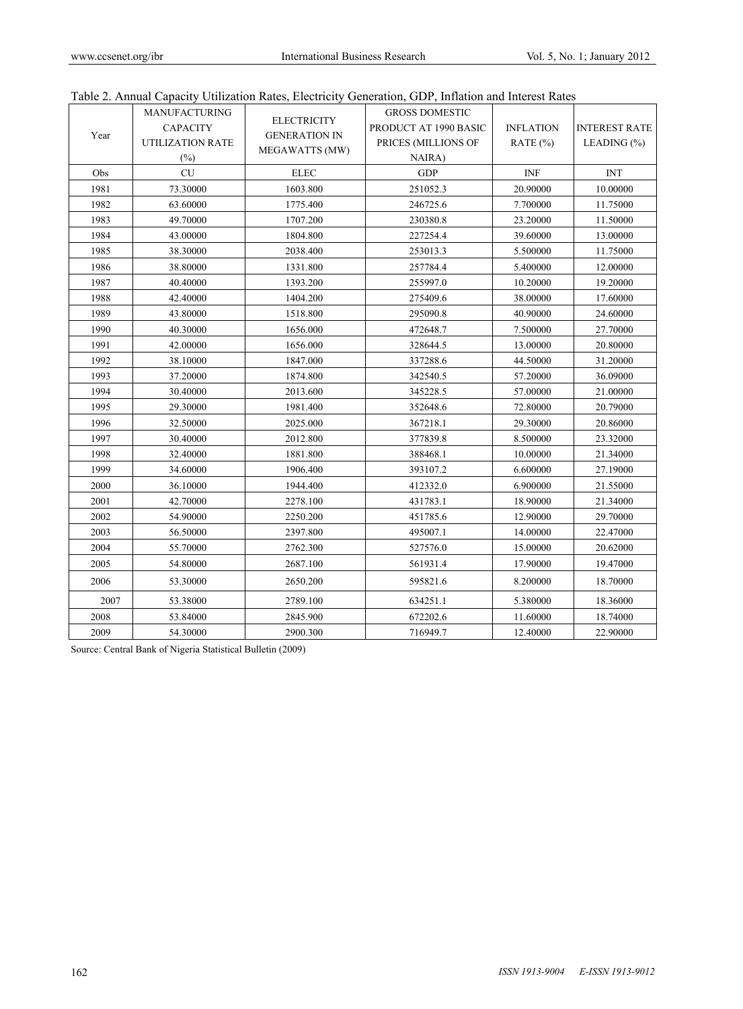|  |  |  |  | Table 2. Annual Capacity Utilization Rates. Electricity Generation, GDP, Inflation and Interest Rates |
|--|--|--|--|-------------------------------------------------------------------------------------------------------|
|--|--|--|--|-------------------------------------------------------------------------------------------------------|

|      |                         |                      | raoic 2. Almaar Capacity Othization Rates, Electricity Generation, GDT, Innation and Interest Rates |                  |                           |
|------|-------------------------|----------------------|-----------------------------------------------------------------------------------------------------|------------------|---------------------------|
|      | <b>MANUFACTURING</b>    | <b>ELECTRICITY</b>   | <b>GROSS DOMESTIC</b>                                                                               |                  |                           |
| Year | <b>CAPACITY</b>         | <b>GENERATION IN</b> | PRODUCT AT 1990 BASIC                                                                               | <b>INFLATION</b> | <b>INTEREST RATE</b>      |
|      | <b>UTILIZATION RATE</b> | MEGAWATTS (MW)       | PRICES (MILLIONS OF                                                                                 | RATE $(\% )$     | LEADING $(\% )$           |
|      | $(\%)$                  |                      | NAIRA)                                                                                              |                  |                           |
| Obs  | CU                      | ${\rm E LEC}$        | <b>GDP</b>                                                                                          | <b>INF</b>       | $\ensuremath{\text{INT}}$ |
| 1981 | 73.30000                | 1603.800             | 251052.3                                                                                            | 20.90000         | 10.00000                  |
| 1982 | 63.60000                | 1775.400             | 246725.6                                                                                            | 7.700000         | 11.75000                  |
| 1983 | 49.70000                | 1707.200             | 230380.8                                                                                            | 23.20000         | 11.50000                  |
| 1984 | 43.00000                | 1804.800             | 227254.4                                                                                            | 39.60000         | 13.00000                  |
| 1985 | 38.30000                | 2038.400             | 253013.3                                                                                            | 5.500000         | 11.75000                  |
| 1986 | 38.80000                | 1331.800             | 257784.4                                                                                            | 5.400000         | 12.00000                  |
| 1987 | 40.40000                | 1393.200             | 255997.0                                                                                            | 10.20000         | 19.20000                  |
| 1988 | 42.40000                | 1404.200             | 275409.6                                                                                            | 38.00000         | 17.60000                  |
| 1989 | 43.80000                | 1518.800             | 295090.8                                                                                            | 40.90000         | 24.60000                  |
| 1990 | 40.30000                | 1656.000             | 472648.7                                                                                            | 7.500000         | 27.70000                  |
| 1991 | 42.00000                | 1656.000             | 328644.5                                                                                            | 13.00000         | 20.80000                  |
| 1992 | 38.10000                | 1847.000             | 337288.6                                                                                            | 44.50000         | 31.20000                  |
| 1993 | 37.20000                | 1874.800             | 342540.5                                                                                            | 57.20000         | 36.09000                  |
| 1994 | 30.40000                | 2013.600             | 345228.5                                                                                            | 57.00000         | 21.00000                  |
| 1995 | 29.30000                | 1981.400             | 352648.6                                                                                            | 72.80000         | 20.79000                  |
| 1996 | 32.50000                | 2025.000             | 367218.1                                                                                            | 29.30000         | 20.86000                  |
| 1997 | 30.40000                | 2012.800             | 377839.8                                                                                            | 8.500000         | 23.32000                  |
| 1998 | 32.40000                | 1881.800             | 388468.1                                                                                            | 10.00000         | 21.34000                  |
| 1999 | 34.60000                | 1906.400             | 393107.2                                                                                            | 6.600000         | 27.19000                  |
| 2000 | 36.10000                | 1944.400             | 412332.0                                                                                            | 6.900000         | 21.55000                  |
| 2001 | 42.70000                | 2278.100             | 431783.1                                                                                            | 18.90000         | 21.34000                  |
| 2002 | 54.90000                | 2250.200             | 451785.6                                                                                            | 12.90000         | 29.70000                  |
| 2003 | 56.50000                | 2397.800             | 495007.1                                                                                            | 14.00000         | 22.47000                  |
| 2004 | 55.70000                | 2762.300             | 527576.0                                                                                            | 15.00000         | 20.62000                  |
| 2005 | 54.80000                | 2687.100             | 561931.4                                                                                            | 17.90000         | 19.47000                  |
| 2006 | 53.30000                | 2650.200             | 595821.6                                                                                            | 8.200000         | 18.70000                  |
| 2007 | 53.38000                | 2789.100             | 634251.1                                                                                            | 5.380000         | 18.36000                  |
| 2008 | 53.84000                | 2845.900             | 672202.6                                                                                            | 11.60000         | 18.74000                  |
| 2009 | 54.30000                | 2900.300             | 716949.7                                                                                            | 12.40000         | 22.90000                  |

Source: Central Bank of Nigeria Statistical Bulletin (2009)